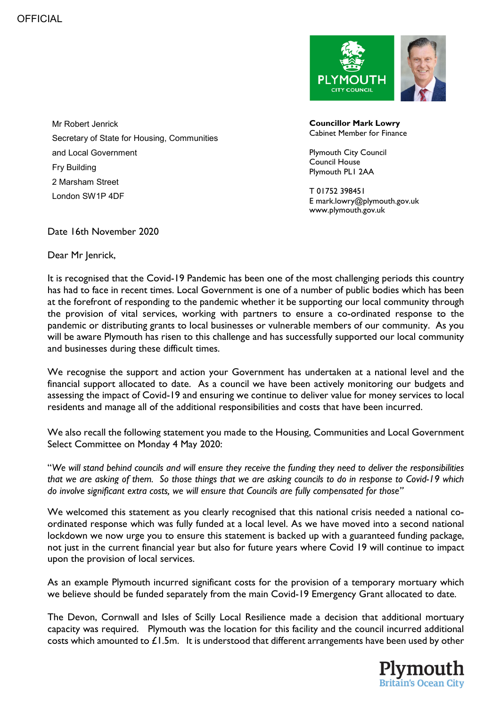Mr Robert Jenrick Secretary of State for Housing, Communities and Local Government Fry Building 2 Marsham Street London SW1P 4DF

COUNCIL

**Councillor Mark Lowry** Cabinet Member for Finance

Plymouth City Council Council House Plymouth PL1 2AA

T 01752 398451 E mark.lowry@plymouth.gov.uk www.plymouth.gov.uk

Date 16th November 2020

Dear Mr Jenrick,

It is recognised that the Covid-19 Pandemic has been one of the most challenging periods this country has had to face in recent times. Local Government is one of a number of public bodies which has been at the forefront of responding to the pandemic whether it be supporting our local community through the provision of vital services, working with partners to ensure a co-ordinated response to the pandemic or distributing grants to local businesses or vulnerable members of our community. As you will be aware Plymouth has risen to this challenge and has successfully supported our local community and businesses during these difficult times.

We recognise the support and action your Government has undertaken at a national level and the financial support allocated to date. As a council we have been actively monitoring our budgets and assessing the impact of Covid-19 and ensuring we continue to deliver value for money services to local residents and manage all of the additional responsibilities and costs that have been incurred.

We also recall the following statement you made to the Housing, Communities and Local Government Select Committee on Monday 4 May 2020:

"*We will stand behind councils and will ensure they receive the funding they need to deliver the responsibilities that we are asking of them. So those things that we are asking councils to do in response to Covid-19 which do involve significant extra costs, we will ensure that Councils are fully compensated for those"*

We welcomed this statement as you clearly recognised that this national crisis needed a national coordinated response which was fully funded at a local level. As we have moved into a second national lockdown we now urge you to ensure this statement is backed up with a guaranteed funding package, not just in the current financial year but also for future years where Covid 19 will continue to impact upon the provision of local services.

As an example Plymouth incurred significant costs for the provision of a temporary mortuary which we believe should be funded separately from the main Covid-19 Emergency Grant allocated to date.

The Devon, Cornwall and Isles of Scilly Local Resilience made a decision that additional mortuary capacity was required. Plymouth was the location for this facility and the council incurred additional costs which amounted to £1.5m. It is understood that different arrangements have been used by other